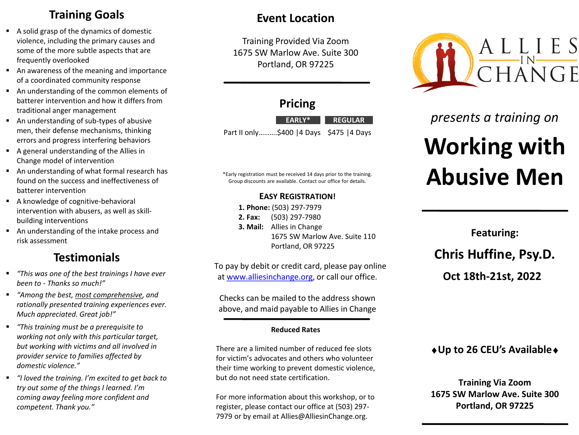# **Training Goals**

- A solid grasp of the dynamics of domestic violence, including the primary causes and some of the more subtle aspects that are frequently overlooked
- An awareness of the meaning and importance of a coordinated community response
- An understanding of the common elements of batterer intervention and how it differs from traditional anger management
- An understanding of sub-types of abusive men, their defense mechanisms, thinking errors and progress interfering behaviors
- A general understanding of the Allies in Change model of intervention
- An understanding of what formal research has found on the success and ineffectiveness of batterer intervention
- A knowledge of cognitive-behavioral intervention with abusers, as well as skillbuilding interventions
- An understanding of the intake process and risk assessment

# **Testimonials**

- *"This was one of the best trainings I have ever been to - Thanks so much!"*
- *"Among the best, most comprehensive, and rationally presented training experiences ever. Much appreciated. Great job!"*
- *"This training must be a prerequisite to working not only with this particular target, but working with victims and all involved in provider service to families affected by domestic violence."*
- *"I loved the training. I'm excited to get back to try out some of the things I learned. I'm coming away feeling more confident and competent. Thank you."*

# **Event Location**

Training Provided Via Zoom 1675 SW Marlow Ave. Suite 300 Portland, OR 97225

## **Pricing**

Part II only……….\$400 |4 Days \$475 |4 Days **EARLY\* REGULAR**

\*Early registration must be received 14 days prior to the training. Group discounts are available. Contact our office for details.

## **EASY REGISTRATION!**

**1. Phone:** (503) 297-7979

- **2. Fax:** (503) 297-7980
- **3. Mail:** Allies in Change
	- 1675 SW Marlow Ave. Suite 110 Portland, OR 97225

To pay by debit or credit card, please pay online at [www.alliesinchange.org,](http://www.alliesinchange.org/) or call our office.

Checks can be mailed to the address shown above, and maid payable to Allies in Change

#### **Reduced Rates**

There are a limited number of reduced fee slots for victim's advocates and others who volunteer their time working to prevent domestic violence, but do not need state certification.

For more information about this workshop, or to register, please contact our office at (503) 297- 7979 or by email at Allies@AlliesinChange.org.



# *presents a training on*

# **Working with Abusive Men**

**Featuring: Chris Huffine, Psy.D. Oct 18th-21st, 2022**

## ♦**Up to 26 CEU's Available**♦

**Training Via Zoom 1675 SW Marlow Ave. Suite 300 Portland, OR 97225**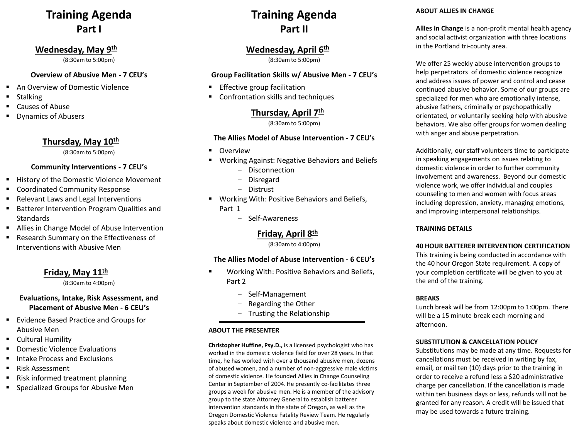# **Training Agenda Part I**

## **Wednesday, May 9 th**

(8:30am to 5:00pm)

#### **Overview of Abusive Men - 7 CEU's**

- An Overview of Domestic Violence
- Stalking
- Causes of Abuse
- **Dynamics of Abusers**

## **Thursday, May 10th**

(8:30am to 5:00pm)

#### **Community Interventions - 7 CEU's**

- History of the Domestic Violence Movement
- Coordinated Community Response
- Relevant Laws and Legal Interventions
- Batterer Intervention Program Qualities and Standards
- Allies in Change Model of Abuse Intervention
- Research Summary on the Effectiveness of Interventions with Abusive Men

## **Friday, May 11 th**

(8:30am to 4:00pm)

#### **Evaluations, Intake, Risk Assessment, and Placement of Abusive Men - 6 CEU's**

- Evidence Based Practice and Groups for Abusive Men
- Cultural Humility
- **Domestic Violence Evaluations**
- Intake Process and Exclusions
- Risk Assessment
- Risk informed treatment planning
- Specialized Groups for Abusive Men

# **Training Agenda Part II**

## **Wednesday, April 6 th**

(8:30am to 5:00pm)

#### **Group Facilitation Skills w/ Abusive Men - 7 CEU's**

- **Effective group facilitation**
- Confrontation skills and techniques

## **Thursday, April 7 th**

(8:30am to 5:00pm)

#### **The Allies Model of Abuse Intervention - 7 CEU's**

- Overview
- Working Against: Negative Behaviors and Beliefs
	- Disconnection
	- Disregard
	- Distrust
- Working With: Positive Behaviors and Beliefs, Part 1
	- Self-Awareness

## **Friday, April 8 th**

(8:30am to 4:00pm)

#### **The Allies Model of Abuse Intervention - 6 CEU's**

- Working With: Positive Behaviors and Beliefs, Part 2
	- Self-Management
	- Regarding the Other
	- Trusting the Relationship

#### **ABOUT THE PRESENTER**

**Christopher Huffine, Psy.D.,** is a licensed psychologist who has worked in the domestic violence field for over 28 years. In that time, he has worked with over a thousand abusive men, dozens of abused women, and a number of non-aggressive male victims of domestic violence. He founded Allies in Change Counseling Center in September of 2004. He presently co-facilitates three groups a week for abusive men. He is a member of the advisory group to the state Attorney General to establish batterer intervention standards in the state of Oregon, as well as the Oregon Domestic Violence Fatality Review Team. He regularly speaks about domestic violence and abusive men.

#### **ABOUT ALLIES IN CHANGE**

**Allies in Change** is a non-profit mental health agency and social activist organization with three locations in the Portland tri-county area.

We offer 25 weekly abuse intervention groups to help perpetrators of domestic violence recognize and address issues of power and control and cease continued abusive behavior. Some of our groups are specialized for men who are emotionally intense, abusive fathers, criminally or psychopathically orientated, or voluntarily seeking help with abusive behaviors. We also offer groups for women dealing with anger and abuse perpetration.

Additionally, our staff volunteers time to participate in speaking engagements on issues relating to domestic violence in order to further community involvement and awareness. Beyond our domestic violence work, we offer individual and couples counseling to men and women with focus areas including depression, anxiety, managing emotions, and improving interpersonal relationships.

#### **TRAINING DETAILS**

#### **40 HOUR BATTERER INTERVENTION CERTIFICATION**

This training is being conducted in accordance with the 40 hour Oregon State requirement. A copy of your completion certificate will be given to you at the end of the training.

#### **BREAKS**

Lunch break will be from 12:00pm to 1:00pm. There will be a 15 minute break each morning and afternoon.

#### **SUBSTITUTION & CANCELLATION POLICY**

Substitutions may be made at any time. Requests for cancellations must be received in writing by fax, email, or mail ten (10) days prior to the training in order to receive a refund less a \$20 administrative charge per cancellation. If the cancellation is made within ten business days or less, refunds will not be granted for any reason. A credit will be issued that may be used towards a future training.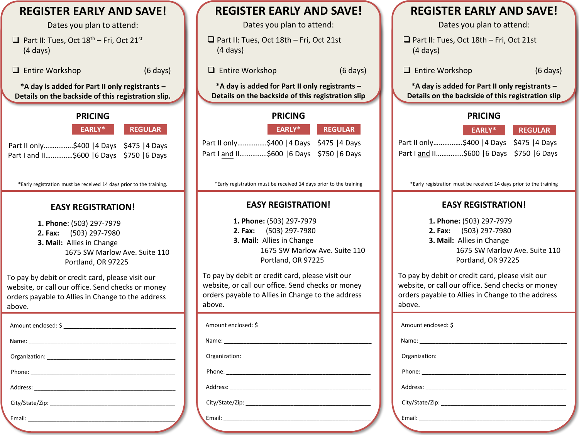(4 days) above. **REGISTER EARLY AND SAVE!** Dates you plan to attend: □ Part II: Tues, Oct  $18<sup>th</sup>$  – Fri, Oct 21<sup>st</sup> (4 days) ❑ Entire Workshop (6 days) **\*A day is added for Part II only registrants – Details on the backside of this registration slip. PRICING** Part II only...............\$400 | 4 Days \$475 | 4 Days Part I and II..............\$600 | 6 Days \$750 | 6 Days \*Early registration must be received 14 days prior to the training. **EASY REGISTRATION! 1. Phone**: (503) 297-7979 **2. Fax:** (503) 297-7980 **3. Mail:** Allies in Change 1675 SW Marlow Ave. Suite 110 Portland, OR 97225 To pay by debit or credit card, please visit our website, or call our office. Send checks or money orders payable to Allies in Change to the address above. Amount enclosed: \$ Name: \_\_\_\_\_\_\_\_\_\_\_\_\_\_\_\_\_\_\_\_\_\_\_\_\_\_\_\_\_\_\_\_\_\_\_\_\_\_\_\_\_\_\_\_\_\_ Organization: \_\_\_\_\_\_\_\_\_\_\_\_\_\_\_\_\_\_\_\_\_\_\_\_\_\_\_\_\_\_\_\_\_\_\_\_\_\_\_\_ Phone: \_\_\_\_\_\_\_\_\_\_\_\_\_\_\_\_\_\_\_\_\_\_\_\_\_\_\_\_\_\_\_\_\_\_\_\_\_\_\_\_\_\_\_\_\_ Address: \_\_\_\_\_\_\_\_\_\_\_\_\_\_\_\_\_\_\_\_\_\_\_\_\_\_\_\_\_\_\_\_\_\_\_\_\_\_\_\_\_\_\_\_ City/State/Zip: Email: \_\_\_\_\_\_\_\_\_\_\_\_\_\_\_\_\_\_\_\_\_\_\_\_\_\_\_\_\_\_\_\_\_\_\_\_\_\_\_\_\_\_\_\_\_\_

# **REGISTER EARLY AND SAVE!** Dates you plan to attend: ❑ Part II: Tues, Oct 18th – Fri, Oct 21st ❑ Entire Workshop (6 days) **\*A day is added for Part II only registrants – Details on the backside of this registration slip PRICING** Part II only...............\$400 | 4 Days \$475 | 4 Days Part I and II……………\$600 |6 Days \$750 |6 Days \*Early registration must be received 14 days prior to the training **EASY REGISTRATION! 1. Phone:** (503) 297-7979 **2. Fax:** (503) 297-7980 **3. Mail:** Allies in Change 1675 SW Marlow Ave. Suite 110 Portland, OR 97225 To pay by debit or credit card, please visit our website, or call our office. Send checks or money orders payable to Allies in Change to the address Amount enclosed: \$ Name: \_\_\_\_\_\_\_\_\_\_\_\_\_\_\_\_\_\_\_\_\_\_\_\_\_\_\_\_\_\_\_\_\_\_\_\_\_\_\_\_\_\_\_\_\_\_ Organization: \_\_\_\_\_\_\_\_\_\_\_\_\_\_\_\_\_\_\_\_\_\_\_\_\_\_\_\_\_\_\_\_\_\_\_\_\_\_\_\_ Phone: \_\_\_\_\_\_\_\_\_\_\_\_\_\_\_\_\_\_\_\_\_\_\_\_\_\_\_\_\_\_\_\_\_\_\_\_\_\_\_\_\_\_\_\_\_ Address: City/State/Zip: Email: \_\_\_\_\_\_\_\_\_\_\_\_\_\_\_\_\_\_\_\_\_\_\_\_\_\_\_\_\_\_\_\_\_\_\_\_\_\_\_\_\_\_\_\_\_\_ **EARLY\* REGULAR EARLY\* REGULAR EARLY\* REGULAR**

# **REGISTER EARLY AND SAVE!**

Dates you plan to attend:

❑ Part II: Tues, Oct 18th – Fri, Oct 21st (4 days)

❑ Entire Workshop (6 days)

**\*A day is added for Part II only registrants – Details on the backside of this registration slip**

### **PRICING**

|                                            | EARLY* REGULAR |
|--------------------------------------------|----------------|
| Part II only\$400   4 Days \$475   4 Days  |                |
| Part I and II\$600   6 Days \$750   6 Days |                |

\*Early registration must be received 14 days prior to the training

## **EASY REGISTRATION!**

**1. Phone:** (503) 297-7979 **2. Fax:** (503) 297-7980 **3. Mail:** Allies in Change 1675 SW Marlow Ave. Suite 110 Portland, OR 97225

To pay by debit or credit card, please visit our website, or call our office. Send checks or money orders payable to Allies in Change to the address above.